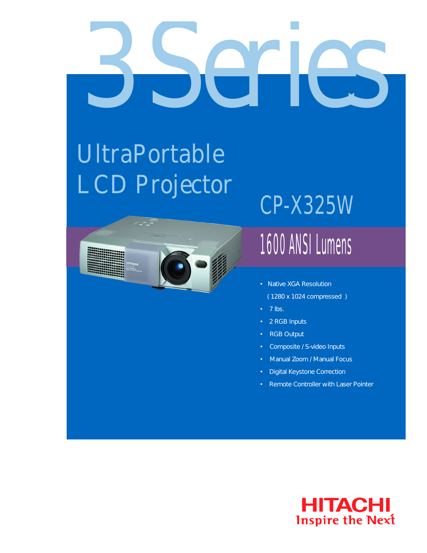# *3 Series*

## UltraPortable LCD Projector



## CP-X325W

### 1600 ANSI Lumens

- Native XGA Resolution ( 1280 x 1024 compressed )
- 7 lbs.
- 2 RGB Inputs
- **RGB Output**
- Composite / S-video Inputs
- Manual Zoom / Manual Focus
- Digital Keystone Correction
- Remote Controller with Laser Pointer